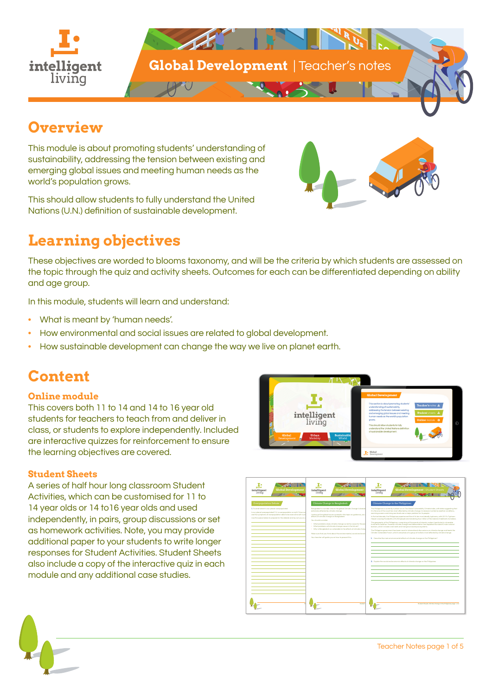

## **Overview**

This module is about promoting students' understanding of sustainability, addressing the tension between existing and emerging global issues and meeting human needs as the world's population grows.

This should allow students to fully understand the United Nations (U.N.) definition of sustainable development.

# **Learning objectives**

These objectives are worded to blooms taxonomy, and will be the criteria by which students are assessed on the topic through the quiz and activity sheets. Outcomes for each can be differentiated depending on ability and age group.

In this module, students will learn and understand:

- What is meant by 'human needs'.
- How environmental and social issues are related to global development.
- How sustainable development can change the way we live on planet earth.

## **Content**

#### **Online module**

This covers both 11 to 14 and 14 to 16 year old students for teachers to teach from and deliver in class, or students to explore independently. Included are interactive quizzes for reinforcement to ensure the learning objectives are covered.

#### **Student Sheets**

A series of half hour long classroom Student Activities, which can be customised for 11 to 14 year olds or 14 to16 year olds and used independently, in pairs, group discussions or set as homework activities. Note, you may provide additional paper to your students to write longer responses for Student Activities. Student Sheets also include a copy of the interactive quiz in each module and any additional case studies.





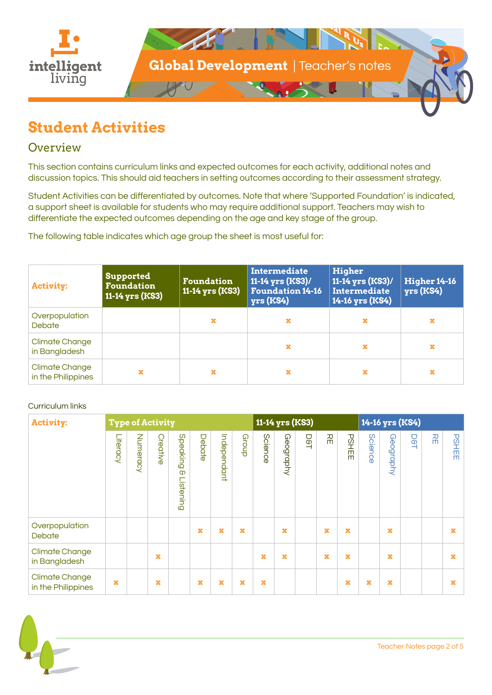

## **Student Activities**

### **Overview**

This section contains curriculum links and expected outcomes for each activity, additional notes and discussion topics. This should aid teachers in setting outcomes according to their assessment strategy.

Student Activities can be differentiated by outcomes. Note that where 'Supported Foundation' is indicated, a support sheet is available for students who may require additional support. Teachers may wish to differentiate the expected outcomes depending on the age and key stage of the group.

The following table indicates which age group the sheet is most useful for:

| <b>Activity:</b>                            | <b>Supported</b><br><b>Foundation</b><br>11-14 yrs (KS3) | <b>Foundation</b><br>11-14 yrs (KS3) | Intermediate<br>11-14 yrs (KS3)/<br><b>Foundation 14-16</b><br>$yrs$ (KS4) | Higher<br>11-14 yrs (KS3)/<br><b>Intermediate</b><br>14-16 yrs (KS4) | <b>Higher 14-16</b><br>$yrs$ (KS4) |
|---------------------------------------------|----------------------------------------------------------|--------------------------------------|----------------------------------------------------------------------------|----------------------------------------------------------------------|------------------------------------|
| Overpopulation<br><b>Debate</b>             |                                                          | ×                                    | x                                                                          | x                                                                    | x                                  |
| <b>Climate Change</b><br>in Bangladesh      |                                                          |                                      | x                                                                          | ×                                                                    | x                                  |
| <b>Climate Change</b><br>in the Philippines | x                                                        | x                                    | x                                                                          | x                                                                    |                                    |

#### Curriculum links

| <b>Activity:</b>                            | <b>Type of Activity</b> |          |          |                                   |        | 11-14 yrs (KS3) |             |         |             | 14-16 yrs (KS4) |   |              |             |           |            |   |              |
|---------------------------------------------|-------------------------|----------|----------|-----------------------------------|--------|-----------------|-------------|---------|-------------|-----------------|---|--------------|-------------|-----------|------------|---|--------------|
|                                             | Literacy                | Numeracy | Creative | Speaking<br>$\infty$<br>Listening | Debate | Independant     | Group       | Science | Geography   | <b>D8T</b>      | 꼮 | <b>PSHEE</b> | Scienc<br>Ò | Geography | <b>D8T</b> | 꼮 | <b>PSHEE</b> |
| Overpopulation<br>Debate                    |                         |          |          |                                   | x      | x               | $\mathbf x$ |         | $\mathbf x$ |                 | x | $\mathbf x$  |             | x         |            |   | x            |
| <b>Climate Change</b><br>in Bangladesh      |                         |          | x        |                                   |        |                 |             | x       | $\mathbf x$ |                 | x | $\mathbf x$  |             | x         |            |   | ×            |
| <b>Climate Change</b><br>in the Philippines | x                       |          | x        |                                   | x      | x               | $\mathbf x$ | x       |             |                 |   | x            | x           | x         |            |   | x            |

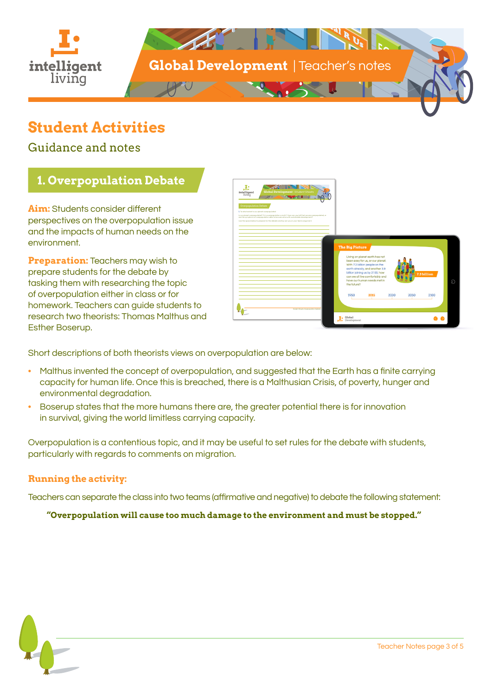

## **Student Activities**

Guidance and notes

### **1. Overpopulation Debate**

**Aim:** Students consider different perspectives on the overpopulation issue and the impacts of human needs on the environment.

**Preparation:** Teachers may wish to prepare students for the debate by tasking them with researching the topic of overpopulation either in class or for homework. Teachers can guide students to research two theorists: Thomas Malthus and Esther Boserup.



Short descriptions of both theorists views on overpopulation are below:

- Malthus invented the concept of overpopulation, and suggested that the Earth has a finite carrying capacity for human life. Once this is breached, there is a Malthusian Crisis, of poverty, hunger and environmental degradation.
- Boserup states that the more humans there are, the greater potential there is for innovation in survival, giving the world limitless carrying capacity.

Overpopulation is a contentious topic, and it may be useful to set rules for the debate with students, particularly with regards to comments on migration.

#### **Running the activity:**

Teachers can separate the class into two teams (affirmative and negative) to debate the following statement:

**"Overpopulation will cause too much damage to the environment and must be stopped."**

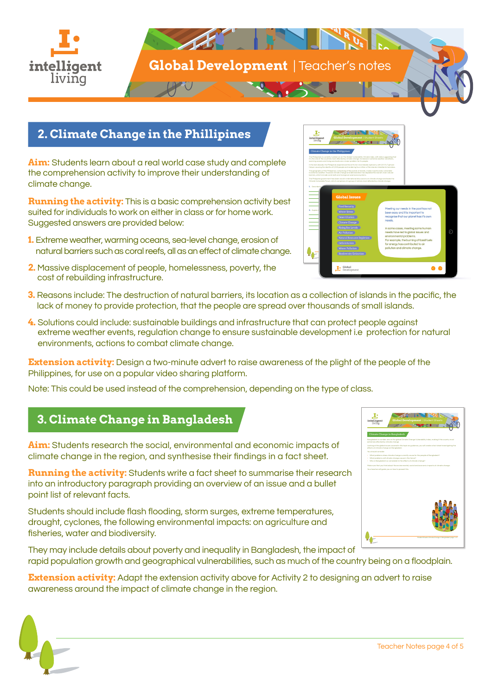

### **2. Climate Change in the Phillipines**

**Aim:** Students learn about a real world case study and complete the comprehension activity to improve their understanding of climate change.

**Running the activity:** This is a basic comprehension activity best suited for individuals to work on either in class or for home work. Suggested answers are provided below:

- **1.** Extreme weather, warming oceans, sea-level change, erosion of natural barriers such as coral reefs, all as an effect of climate change.
- **2.** Massive displacement of people, homelessness, poverty, the cost of rebuilding infrastructure.
- Student Sheets: Climate Change in the Philippines page 1 of 2

Climate Change in the Philippines

The Philippines is currently number six on The Global Vulnerability Climate index, with data suggesting that it is the one of the countries most affected by climate change. Increases in extreme weather conditions, warming oceans and rising sea levels are a major problem for its people. In the last decade, the Philippines experienced five of its ten most deadly typhoons, with 2013's Typhoon Haiyan causing the deaths of 6,300 people and rendering four million of the islands inhabitants homeless. to extreme weather. However climate change and deforestation has depleted the island's main natural barriers, which include coral reefs and mangrove swamp ecosystems. Climate Vulnerable Forum, which comprises of a group of nations most affected by climate change. **1.** Describe the main environmental effects of climate change on the Philippines?

**2.** Explain the social and economic effects of climate change on the Philippines of conomic explanations of con-

- **3.** Reasons include: The destruction of natural barriers, its location as a collection of islands in the pacific, the lack of money to provide protection, that the people are spread over thousands of small islands.
- **4.** Solutions could include: sustainable buildings and infrastructure that can protect people against extreme weather events, regulation change to ensure sustainable development i.e protection for natural environments, actions to combat climate change.

**Extension activity:** Design a two-minute advert to raise awareness of the plight of the people of the Philippines, for use on a popular video sharing platform.

Note: This could be used instead of the comprehension, depending on the type of class.

### **3. Climate Change in Bangladesh**

**Aim:** Students research the social, environmental and economic impacts of climate change in the region, and synthesise their findings in a fact sheet.

**Running the activity:** Students write a fact sheet to summarise their research into an introductory paragraph providing an overview of an issue and a bullet point list of relevant facts.

Students should include flash flooding, storm surges, extreme temperatures, drought, cyclones, the following environmental impacts: on agriculture and fisheries, water and biodiversity.

They may include details about poverty and inequality in Bangladesh, the impact of rapid population growth and geographical vulnerabilities, such as much of the country being on a floodplain.

**Extension activity:** Adapt the extension activity above for Activity 2 to designing an advert to raise awareness around the impact of climate change in the region.